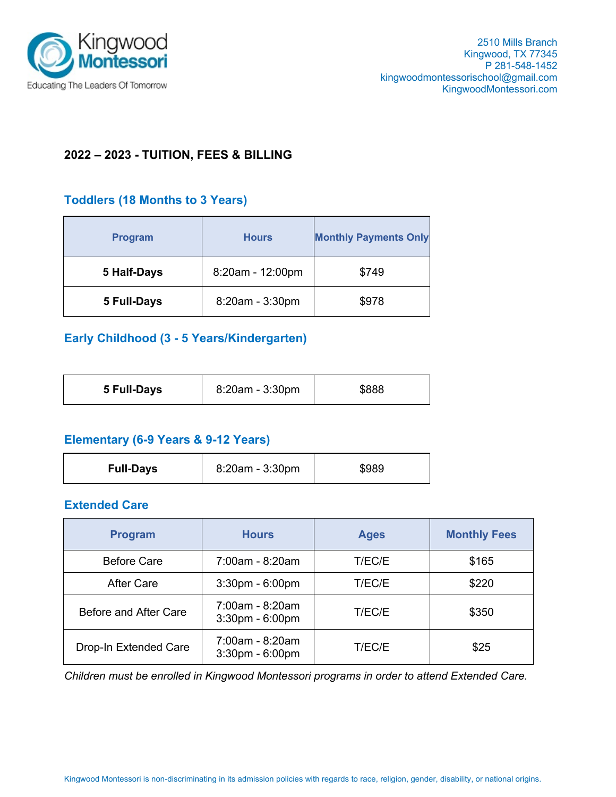

# **2022 – 2023 - TUITION, FEES & BILLING**

## **Toddlers (18 Months to 3 Years)**

| <b>Program</b> | <b>Hours</b>     | <b>Monthly Payments Only</b> |  |
|----------------|------------------|------------------------------|--|
| 5 Half-Days    | 8:20am - 12:00pm | \$749                        |  |
| 5 Full-Days    | 8:20am - 3:30pm  | \$978                        |  |

# **Early Childhood (3 - 5 Years/Kindergarten)**

| 8:20am - 3:30pm<br>\$888<br>5 Full-Days |
|-----------------------------------------|
|-----------------------------------------|

### **Elementary (6-9 Years & 9-12 Years)**

| <b>Full-Days</b> | 8:20am - 3:30pm | \$989 |
|------------------|-----------------|-------|
|------------------|-----------------|-------|

### **Extended Care**

| <b>Program</b>        | <b>Hours</b>                             | <b>Ages</b> | <b>Monthly Fees</b> |
|-----------------------|------------------------------------------|-------------|---------------------|
| <b>Before Care</b>    | 7:00am - 8:20am                          | T/EC/E      | \$165               |
| <b>After Care</b>     | $3:30$ pm - $6:00$ pm                    | T/EC/E      | \$220               |
| Before and After Care | 7:00am - 8:20am<br>$3:30$ pm - $6:00$ pm | T/EC/E      | \$350               |
| Drop-In Extended Care | 7:00am - 8:20am<br>$3:30$ pm - $6:00$ pm | T/EC/E      | \$25                |

*Children must be enrolled in Kingwood Montessori programs in order to attend Extended Care.*